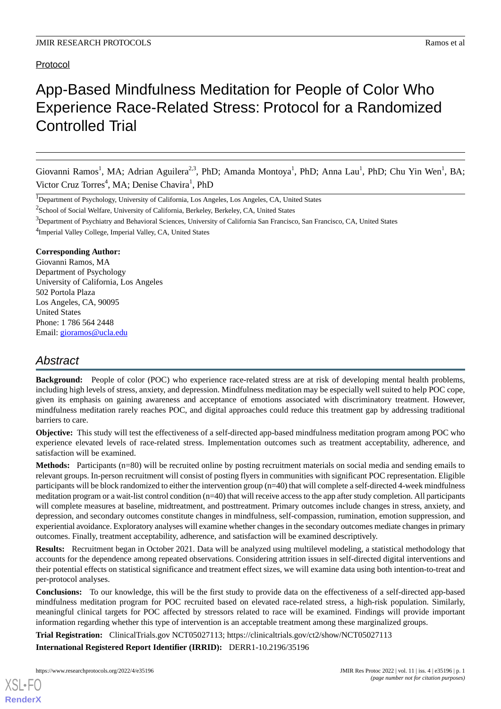### Protocol

# App-Based Mindfulness Meditation for People of Color Who Experience Race-Related Stress: Protocol for a Randomized Controlled Trial

Giovanni Ramos<sup>1</sup>, MA; Adrian Aguilera<sup>2,3</sup>, PhD; Amanda Montoya<sup>1</sup>, PhD; Anna Lau<sup>1</sup>, PhD; Chu Yin Wen<sup>1</sup>, BA; Victor Cruz Torres<sup>4</sup>, MA; Denise Chavira<sup>1</sup>, PhD

<sup>2</sup>School of Social Welfare, University of California, Berkeley, Berkeley, CA, United States

<sup>3</sup>Department of Psychiatry and Behavioral Sciences, University of California San Francisco, San Francisco, CA, United States

<sup>4</sup>Imperial Valley College, Imperial Valley, CA, United States

### **Corresponding Author:**

Giovanni Ramos, MA Department of Psychology University of California, Los Angeles 502 Portola Plaza Los Angeles, CA, 90095 United States Phone: 1 786 564 2448 Email: [gioramos@ucla.edu](mailto:gioramos@ucla.edu)

# *Abstract*

**Background:** People of color (POC) who experience race-related stress are at risk of developing mental health problems, including high levels of stress, anxiety, and depression. Mindfulness meditation may be especially well suited to help POC cope, given its emphasis on gaining awareness and acceptance of emotions associated with discriminatory treatment. However, mindfulness meditation rarely reaches POC, and digital approaches could reduce this treatment gap by addressing traditional barriers to care.

**Objective:** This study will test the effectiveness of a self-directed app-based mindfulness meditation program among POC who experience elevated levels of race-related stress. Implementation outcomes such as treatment acceptability, adherence, and satisfaction will be examined.

**Methods:** Participants (n=80) will be recruited online by posting recruitment materials on social media and sending emails to relevant groups. In-person recruitment will consist of posting flyers in communities with significant POC representation. Eligible participants will be block randomized to either the intervention group (n=40) that will complete a self-directed 4-week mindfulness meditation program or a wait-list control condition (n=40) that will receive access to the app after study completion. All participants will complete measures at baseline, midtreatment, and posttreatment. Primary outcomes include changes in stress, anxiety, and depression, and secondary outcomes constitute changes in mindfulness, self-compassion, rumination, emotion suppression, and experiential avoidance. Exploratory analyses will examine whether changes in the secondary outcomes mediate changes in primary outcomes. Finally, treatment acceptability, adherence, and satisfaction will be examined descriptively.

**Results:** Recruitment began in October 2021. Data will be analyzed using multilevel modeling, a statistical methodology that accounts for the dependence among repeated observations. Considering attrition issues in self-directed digital interventions and their potential effects on statistical significance and treatment effect sizes, we will examine data using both intention-to-treat and per-protocol analyses.

**Conclusions:** To our knowledge, this will be the first study to provide data on the effectiveness of a self-directed app-based mindfulness meditation program for POC recruited based on elevated race-related stress, a high-risk population. Similarly, meaningful clinical targets for POC affected by stressors related to race will be examined. Findings will provide important information regarding whether this type of intervention is an acceptable treatment among these marginalized groups.

**Trial Registration:** ClinicalTrials.gov NCT05027113; https://clinicaltrials.gov/ct2/show/NCT05027113

**International Registered Report Identifier (IRRID):** DERR1-10.2196/35196

<sup>&</sup>lt;sup>1</sup>Department of Psychology, University of California, Los Angeles, Los Angeles, CA, United States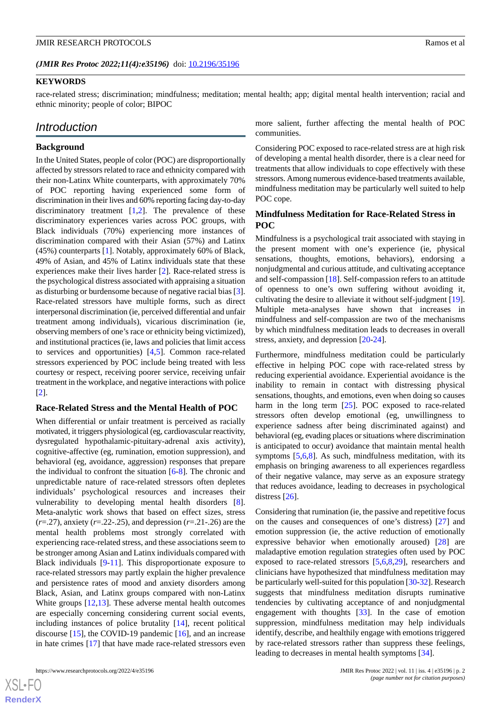(JMIR Res Protoc 2022;11(4):e35196) doi: [10.2196/35196](http://dx.doi.org/10.2196/35196)

### **KEYWORDS**

race-related stress; discrimination; mindfulness; meditation; mental health; app; digital mental health intervention; racial and ethnic minority; people of color; BIPOC

# *Introduction*

### **Background**

In the United States, people of color (POC) are disproportionally affected by stressors related to race and ethnicity compared with their non-Latinx White counterparts, with approximately 70% of POC reporting having experienced some form of discrimination in their lives and 60% reporting facing day-to-day discriminatory treatment  $[1,2]$  $[1,2]$  $[1,2]$  $[1,2]$ . The prevalence of these discriminatory experiences varies across POC groups, with Black individuals (70%) experiencing more instances of discrimination compared with their Asian (57%) and Latinx (45%) counterparts [[1\]](#page-8-0). Notably, approximately 60% of Black, 49% of Asian, and 45% of Latinx individuals state that these experiences make their lives harder [\[2](#page-8-1)]. Race-related stress is the psychological distress associated with appraising a situation as disturbing or burdensome because of negative racial bias [[3\]](#page-8-2). Race-related stressors have multiple forms, such as direct interpersonal discrimination (ie, perceived differential and unfair treatment among individuals), vicarious discrimination (ie, observing members of one's race or ethnicity being victimized), and institutional practices (ie, laws and policies that limit access to services and opportunities) [\[4](#page-8-3),[5\]](#page-8-4). Common race-related stressors experienced by POC include being treated with less courtesy or respect, receiving poorer service, receiving unfair treatment in the workplace, and negative interactions with police [[2\]](#page-8-1).

#### **Race-Related Stress and the Mental Health of POC**

When differential or unfair treatment is perceived as racially motivated, it triggers physiological (eg, cardiovascular reactivity, dysregulated hypothalamic-pituitary-adrenal axis activity), cognitive-affective (eg, rumination, emotion suppression), and behavioral (eg, avoidance, aggression) responses that prepare the individual to confront the situation [[6](#page-8-5)[-8](#page-8-6)]. The chronic and unpredictable nature of race-related stressors often depletes individuals' psychological resources and increases their vulnerability to developing mental health disorders [[8\]](#page-8-6). Meta-analytic work shows that based on effect sizes, stress (*r*=.27), anxiety (*r*=.22-.25), and depression (*r*=.21-.26) are the mental health problems most strongly correlated with experiencing race-related stress, and these associations seem to be stronger among Asian and Latinx individuals compared with Black individuals [\[9](#page-8-7)-[11\]](#page-8-8). This disproportionate exposure to race-related stressors may partly explain the higher prevalence and persistence rates of mood and anxiety disorders among Black, Asian, and Latinx groups compared with non-Latinx White groups [[12,](#page-8-9)[13](#page-8-10)]. These adverse mental health outcomes are especially concerning considering current social events, including instances of police brutality [[14\]](#page-8-11), recent political discourse [\[15](#page-8-12)], the COVID-19 pandemic [\[16](#page-9-0)], and an increase in hate crimes [[17\]](#page-9-1) that have made race-related stressors even

more salient, further affecting the mental health of POC communities.

Considering POC exposed to race-related stress are at high risk of developing a mental health disorder, there is a clear need for treatments that allow individuals to cope effectively with these stressors. Among numerous evidence-based treatments available, mindfulness meditation may be particularly well suited to help POC cope.

### **Mindfulness Meditation for Race-Related Stress in POC**

Mindfulness is a psychological trait associated with staying in the present moment with one's experience (ie, physical sensations, thoughts, emotions, behaviors), endorsing a nonjudgmental and curious attitude, and cultivating acceptance and self-compassion [\[18](#page-9-2)]. Self-compassion refers to an attitude of openness to one's own suffering without avoiding it, cultivating the desire to alleviate it without self-judgment [[19\]](#page-9-3). Multiple meta-analyses have shown that increases in mindfulness and self-compassion are two of the mechanisms by which mindfulness meditation leads to decreases in overall stress, anxiety, and depression [\[20](#page-9-4)-[24\]](#page-9-5).

Furthermore, mindfulness meditation could be particularly effective in helping POC cope with race-related stress by reducing experiential avoidance. Experiential avoidance is the inability to remain in contact with distressing physical sensations, thoughts, and emotions, even when doing so causes harm in the long term [\[25](#page-9-6)]. POC exposed to race-related stressors often develop emotional (eg, unwillingness to experience sadness after being discriminated against) and behavioral (eg, evading places or situations where discrimination is anticipated to occur) avoidance that maintain mental health symptoms  $[5,6,8]$  $[5,6,8]$  $[5,6,8]$  $[5,6,8]$  $[5,6,8]$ . As such, mindfulness meditation, with its emphasis on bringing awareness to all experiences regardless of their negative valance, may serve as an exposure strategy that reduces avoidance, leading to decreases in psychological distress [[26\]](#page-9-7).

Considering that rumination (ie, the passive and repetitive focus on the causes and consequences of one's distress) [[27\]](#page-9-8) and emotion suppression (ie, the active reduction of emotionally expressive behavior when emotionally aroused) [[28\]](#page-9-9) are maladaptive emotion regulation strategies often used by POC exposed to race-related stressors [\[5](#page-8-4),[6](#page-8-5)[,8](#page-8-6),[29\]](#page-9-10), researchers and clinicians have hypothesized that mindfulness meditation may be particularly well-suited for this population [[30-](#page-9-11)[32\]](#page-9-12). Research suggests that mindfulness meditation disrupts ruminative tendencies by cultivating acceptance of and nonjudgmental engagement with thoughts [\[33](#page-9-13)]. In the case of emotion suppression, mindfulness meditation may help individuals identify, describe, and healthily engage with emotions triggered by race-related stressors rather than suppress these feelings, leading to decreases in mental health symptoms [[34\]](#page-9-14).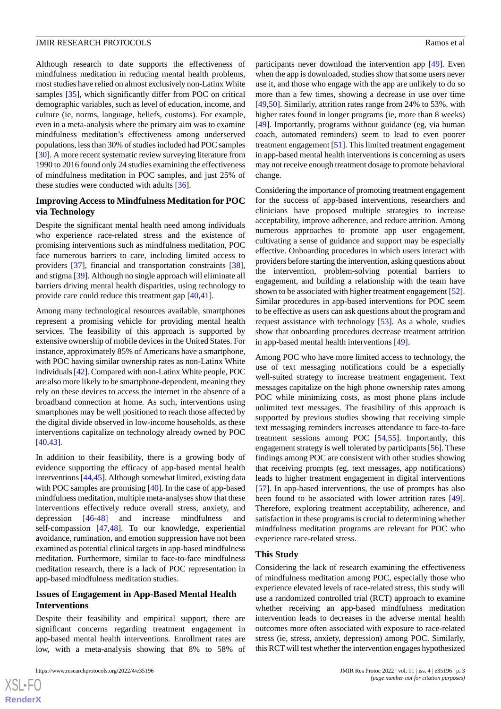Although research to date supports the effectiveness of mindfulness meditation in reducing mental health problems, most studies have relied on almost exclusively non-Latinx White samples [\[35](#page-9-15)], which significantly differ from POC on critical demographic variables, such as level of education, income, and culture (ie, norms, language, beliefs, customs). For example, even in a meta-analysis where the primary aim was to examine mindfulness meditation's effectiveness among underserved populations, less than 30% of studies included had POC samples [[30\]](#page-9-11). A more recent systematic review surveying literature from 1990 to 2016 found only 24 studies examining the effectiveness of mindfulness meditation in POC samples, and just 25% of these studies were conducted with adults [\[36](#page-9-16)].

### **Improving Access to Mindfulness Meditation for POC via Technology**

Despite the significant mental health need among individuals who experience race-related stress and the existence of promising interventions such as mindfulness meditation, POC face numerous barriers to care, including limited access to providers [[37\]](#page-9-17), financial and transportation constraints [[38\]](#page-9-18), and stigma [[39\]](#page-10-0). Although no single approach will eliminate all barriers driving mental health disparities, using technology to provide care could reduce this treatment gap [[40](#page-10-1)[,41](#page-10-2)].

Among many technological resources available, smartphones represent a promising vehicle for providing mental health services. The feasibility of this approach is supported by extensive ownership of mobile devices in the United States. For instance, approximately 85% of Americans have a smartphone, with POC having similar ownership rates as non-Latinx White individuals [\[42\]](#page-10-3). Compared with non-Latinx White people, POC are also more likely to be smartphone-dependent, meaning they rely on these devices to access the internet in the absence of a broadband connection at home. As such, interventions using smartphones may be well positioned to reach those affected by the digital divide observed in low-income households, as these interventions capitalize on technology already owned by POC [[40](#page-10-1)[,43](#page-10-4)].

In addition to their feasibility, there is a growing body of evidence supporting the efficacy of app-based mental health interventions [\[44](#page-10-5)[,45](#page-10-6)]. Although somewhat limited, existing data with POC samples are promising [[40\]](#page-10-1). In the case of app-based mindfulness meditation, multiple meta-analyses show that these interventions effectively reduce overall stress, anxiety, and depression [[46-](#page-10-7)[48](#page-10-8)] and increase mindfulness and self-compassion [[47](#page-10-9)[,48](#page-10-8)]. To our knowledge, experiential avoidance, rumination, and emotion suppression have not been examined as potential clinical targets in app-based mindfulness meditation. Furthermore, similar to face-to-face mindfulness meditation research, there is a lack of POC representation in app-based mindfulness meditation studies.

### **Issues of Engagement in App-Based Mental Health Interventions**

Despite their feasibility and empirical support, there are significant concerns regarding treatment engagement in app-based mental health interventions. Enrollment rates are low, with a meta-analysis showing that 8% to 58% of

participants never download the intervention app [[49\]](#page-10-10). Even when the app is downloaded, studies show that some users never use it, and those who engage with the app are unlikely to do so more than a few times, showing a decrease in use over time [[49,](#page-10-10)[50\]](#page-10-11). Similarly, attrition rates range from 24% to 53%, with higher rates found in longer programs (ie, more than 8 weeks) [[49\]](#page-10-10). Importantly, programs without guidance (eg, via human coach, automated reminders) seem to lead to even poorer treatment engagement [[51\]](#page-10-12). This limited treatment engagement in app-based mental health interventions is concerning as users may not receive enough treatment dosage to promote behavioral change.

Considering the importance of promoting treatment engagement for the success of app-based interventions, researchers and clinicians have proposed multiple strategies to increase acceptability, improve adherence, and reduce attrition. Among numerous approaches to promote app user engagement, cultivating a sense of guidance and support may be especially effective. Onboarding procedures in which users interact with providers before starting the intervention, asking questions about the intervention, problem-solving potential barriers to engagement, and building a relationship with the team have shown to be associated with higher treatment engagement [[52\]](#page-10-13). Similar procedures in app-based interventions for POC seem to be effective as users can ask questions about the program and request assistance with technology [\[53](#page-10-14)]. As a whole, studies show that onboarding procedures decrease treatment attrition in app-based mental health interventions [[49\]](#page-10-10).

Among POC who have more limited access to technology, the use of text messaging notifications could be a especially well-suited strategy to increase treatment engagement. Text messages capitalize on the high phone ownership rates among POC while minimizing costs, as most phone plans include unlimited text messages. The feasibility of this approach is supported by previous studies showing that receiving simple text messaging reminders increases attendance to face-to-face treatment sessions among POC [[54,](#page-10-15)[55](#page-10-16)]. Importantly, this engagement strategy is well tolerated by participants [[56\]](#page-10-17). These findings among POC are consistent with other studies showing that receiving prompts (eg, text messages, app notifications) leads to higher treatment engagement in digital interventions [[57\]](#page-10-18). In app-based interventions, the use of prompts has also been found to be associated with lower attrition rates [[49\]](#page-10-10). Therefore, exploring treatment acceptability, adherence, and satisfaction in these programs is crucial to determining whether mindfulness meditation programs are relevant for POC who experience race-related stress.

#### **This Study**

Considering the lack of research examining the effectiveness of mindfulness meditation among POC, especially those who experience elevated levels of race-related stress, this study will use a randomized controlled trial (RCT) approach to examine whether receiving an app-based mindfulness meditation intervention leads to decreases in the adverse mental health outcomes more often associated with exposure to race-related stress (ie, stress, anxiety, depression) among POC. Similarly, this RCT will test whether the intervention engages hypothesized

 $XS$ -FO **[RenderX](http://www.renderx.com/)**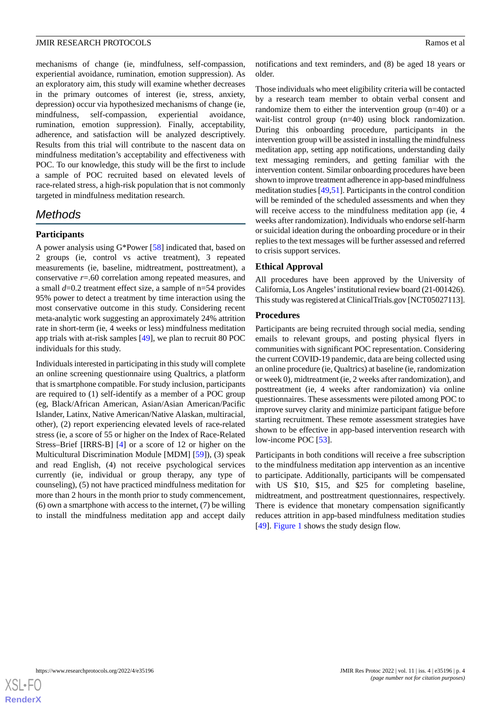mechanisms of change (ie, mindfulness, self-compassion, experiential avoidance, rumination, emotion suppression). As an exploratory aim, this study will examine whether decreases in the primary outcomes of interest (ie, stress, anxiety, depression) occur via hypothesized mechanisms of change (ie, mindfulness, self-compassion, experiential avoidance, rumination, emotion suppression). Finally, acceptability, adherence, and satisfaction will be analyzed descriptively. Results from this trial will contribute to the nascent data on mindfulness meditation's acceptability and effectiveness with POC. To our knowledge, this study will be the first to include a sample of POC recruited based on elevated levels of race-related stress, a high-risk population that is not commonly targeted in mindfulness meditation research.

# *Methods*

### **Participants**

A power analysis using G\*Power [[58\]](#page-10-19) indicated that, based on 2 groups (ie, control vs active treatment), 3 repeated measurements (ie, baseline, midtreatment, posttreatment), a conservative *r*=.60 correlation among repeated measures, and a small *d*=0.2 treatment effect size, a sample of n=54 provides 95% power to detect a treatment by time interaction using the most conservative outcome in this study. Considering recent meta-analytic work suggesting an approximately 24% attrition rate in short-term (ie, 4 weeks or less) mindfulness meditation app trials with at-risk samples [\[49](#page-10-10)], we plan to recruit 80 POC individuals for this study.

Individuals interested in participating in this study will complete an online screening questionnaire using Qualtrics, a platform that is smartphone compatible. For study inclusion, participants are required to (1) self-identify as a member of a POC group (eg, Black/African American, Asian/Asian American/Pacific Islander, Latinx, Native American/Native Alaskan, multiracial, other), (2) report experiencing elevated levels of race-related stress (ie, a score of 55 or higher on the Index of Race-Related Stress–Brief [IRRS-B] [[4\]](#page-8-3) or a score of 12 or higher on the Multicultural Discrimination Module [MDM] [\[59](#page-10-20)]), (3) speak and read English, (4) not receive psychological services currently (ie, individual or group therapy, any type of counseling), (5) not have practiced mindfulness meditation for more than 2 hours in the month prior to study commencement, (6) own a smartphone with access to the internet, (7) be willing to install the mindfulness meditation app and accept daily

notifications and text reminders, and (8) be aged 18 years or older.

Those individuals who meet eligibility criteria will be contacted by a research team member to obtain verbal consent and randomize them to either the intervention group (n=40) or a wait-list control group (n=40) using block randomization. During this onboarding procedure, participants in the intervention group will be assisted in installing the mindfulness meditation app, setting app notifications, understanding daily text messaging reminders, and getting familiar with the intervention content. Similar onboarding procedures have been shown to improve treatment adherence in app-based mindfulness meditation studies [\[49](#page-10-10),[51\]](#page-10-12). Participants in the control condition will be reminded of the scheduled assessments and when they will receive access to the mindfulness meditation app (ie, 4 weeks after randomization). Individuals who endorse self-harm or suicidal ideation during the onboarding procedure or in their replies to the text messages will be further assessed and referred to crisis support services.

### **Ethical Approval**

All procedures have been approved by the University of California, Los Angeles'institutional review board (21-001426). This study was registered at ClinicalTrials.gov [NCT05027113].

### **Procedures**

Participants are being recruited through social media, sending emails to relevant groups, and posting physical flyers in communities with significant POC representation. Considering the current COVID-19 pandemic, data are being collected using an online procedure (ie, Qualtrics) at baseline (ie, randomization or week 0), midtreatment (ie, 2 weeks after randomization), and posttreatment (ie, 4 weeks after randomization) via online questionnaires. These assessments were piloted among POC to improve survey clarity and minimize participant fatigue before starting recruitment. These remote assessment strategies have shown to be effective in app-based intervention research with low-income POC [[53\]](#page-10-14).

Participants in both conditions will receive a free subscription to the mindfulness meditation app intervention as an incentive to participate. Additionally, participants will be compensated with US \$10, \$15, and \$25 for completing baseline, midtreatment, and posttreatment questionnaires, respectively. There is evidence that monetary compensation significantly reduces attrition in app-based mindfulness meditation studies [[49\]](#page-10-10). [Figure 1](#page-4-0) shows the study design flow.

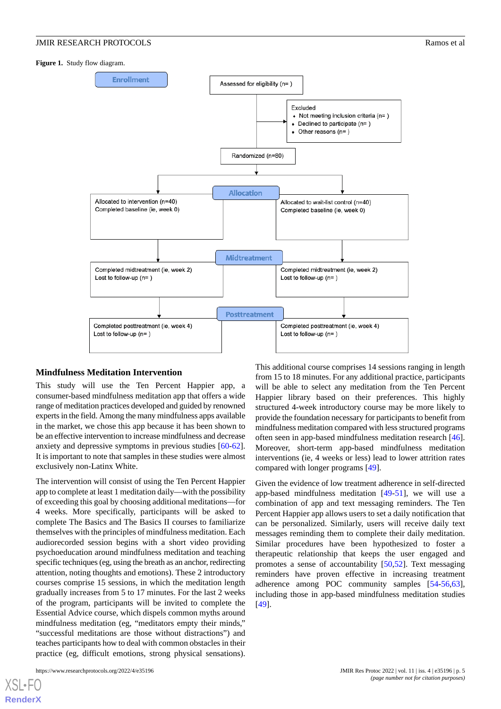### **JMIR RESEARCH PROTOCOLS Ramos et al. Ramos et al. Ramos et al. Ramos et al. Ramos et al. Ramos et al. Ramos et al. Ramos et al. Ramos et al. Ramos et al. Ramos et al. Ramos et al. Ramos et al.**

#### <span id="page-4-0"></span>**Figure 1.** Study flow diagram.



#### **Mindfulness Meditation Intervention**

This study will use the Ten Percent Happier app, a consumer-based mindfulness meditation app that offers a wide range of meditation practices developed and guided by renowned experts in the field. Among the many mindfulness apps available in the market, we chose this app because it has been shown to be an effective intervention to increase mindfulness and decrease anxiety and depressive symptoms in previous studies [\[60](#page-10-21)-[62\]](#page-11-0). It is important to note that samples in these studies were almost exclusively non-Latinx White.

The intervention will consist of using the Ten Percent Happier app to complete at least 1 meditation daily—with the possibility of exceeding this goal by choosing additional meditations—for 4 weeks. More specifically, participants will be asked to complete The Basics and The Basics II courses to familiarize themselves with the principles of mindfulness meditation. Each audiorecorded session begins with a short video providing psychoeducation around mindfulness meditation and teaching specific techniques (eg, using the breath as an anchor, redirecting attention, noting thoughts and emotions). These 2 introductory courses comprise 15 sessions, in which the meditation length gradually increases from 5 to 17 minutes. For the last 2 weeks of the program, participants will be invited to complete the Essential Advice course, which dispels common myths around mindfulness meditation (eg, "meditators empty their minds," "successful meditations are those without distractions") and teaches participants how to deal with common obstacles in their practice (eg, difficult emotions, strong physical sensations).

from 15 to 18 minutes. For any additional practice, participants will be able to select any meditation from the Ten Percent Happier library based on their preferences. This highly structured 4-week introductory course may be more likely to provide the foundation necessary for participants to benefit from mindfulness meditation compared with less structured programs often seen in app-based mindfulness meditation research [[46\]](#page-10-7). Moreover, short-term app-based mindfulness meditation interventions (ie, 4 weeks or less) lead to lower attrition rates compared with longer programs [[49\]](#page-10-10).

This additional course comprises 14 sessions ranging in length

Given the evidence of low treatment adherence in self-directed app-based mindfulness meditation [\[49](#page-10-10)[-51](#page-10-12)], we will use a combination of app and text messaging reminders. The Ten Percent Happier app allows users to set a daily notification that can be personalized. Similarly, users will receive daily text messages reminding them to complete their daily meditation. Similar procedures have been hypothesized to foster a therapeutic relationship that keeps the user engaged and promotes a sense of accountability [\[50](#page-10-11),[52\]](#page-10-13). Text messaging reminders have proven effective in increasing treatment adherence among POC community samples [\[54](#page-10-15)[-56](#page-10-17),[63\]](#page-11-1), including those in app-based mindfulness meditation studies [[49\]](#page-10-10).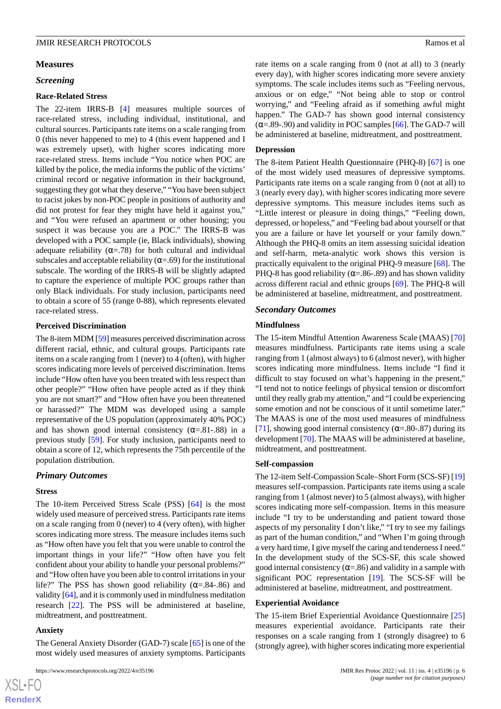#### **Measures**

### *Screening*

#### **Race-Related Stress**

The 22-item IRRS-B [\[4](#page-8-3)] measures multiple sources of race-related stress, including individual, institutional, and cultural sources. Participants rate items on a scale ranging from 0 (this never happened to me) to 4 (this event happened and I was extremely upset), with higher scores indicating more race-related stress. Items include "You notice when POC are killed by the police, the media informs the public of the victims' criminal record or negative information in their background, suggesting they got what they deserve," "You have been subject to racist jokes by non-POC people in positions of authority and did not protest for fear they might have held it against you," and "You were refused an apartment or other housing; you suspect it was because you are a POC." The IRRS-B was developed with a POC sample (ie, Black individuals), showing adequate reliability ( $\alpha$ =.78) for both cultural and individual subscales and acceptable reliability ( $\alpha$ =.69) for the institutional subscale. The wording of the IRRS-B will be slightly adapted to capture the experience of multiple POC groups rather than only Black individuals. For study inclusion, participants need to obtain a score of 55 (range 0-88), which represents elevated race-related stress.

#### **Perceived Discrimination**

The 8-item MDM [[59](#page-10-20)] measures perceived discrimination across different racial, ethnic, and cultural groups. Participants rate items on a scale ranging from 1 (never) to 4 (often), with higher scores indicating more levels of perceived discrimination. Items include "How often have you been treated with less respect than other people?" "How often have people acted as if they think you are not smart?" and "How often have you been threatened or harassed?" The MDM was developed using a sample representative of the US population (approximately 40% POC) and has shown good internal consistency  $(\alpha = .81-.88)$  in a previous study [\[59](#page-10-20)]. For study inclusion, participants need to obtain a score of 12, which represents the 75th percentile of the population distribution.

#### *Primary Outcomes*

#### **Stress**

The 10-item Perceived Stress Scale (PSS) [[64\]](#page-11-2) is the most widely used measure of perceived stress. Participants rate items on a scale ranging from 0 (never) to 4 (very often), with higher scores indicating more stress. The measure includes items such as "How often have you felt that you were unable to control the important things in your life?" "How often have you felt confident about your ability to handle your personal problems?" and "How often have you been able to control irritations in your life?" The PSS has shown good reliability ( $\alpha$ =.84-.86) and validity [\[64](#page-11-2)], and it is commonly used in mindfulness meditation research [[22\]](#page-9-19). The PSS will be administered at baseline, midtreatment, and posttreatment.

#### **Anxiety**

 $XS$ -FO **[RenderX](http://www.renderx.com/)**

The General Anxiety Disorder (GAD-7) scale [[65\]](#page-11-3) is one of the most widely used measures of anxiety symptoms. Participants

rate items on a scale ranging from 0 (not at all) to 3 (nearly every day), with higher scores indicating more severe anxiety symptoms. The scale includes items such as "Feeling nervous, anxious or on edge," "Not being able to stop or control worrying," and "Feeling afraid as if something awful might happen." The GAD-7 has shown good internal consistency  $(\alpha = .89-.90)$  and validity in POC samples [[66\]](#page-11-4). The GAD-7 will be administered at baseline, midtreatment, and posttreatment.

#### **Depression**

The 8-item Patient Health Questionnaire (PHQ-8) [\[67](#page-11-5)] is one of the most widely used measures of depressive symptoms. Participants rate items on a scale ranging from 0 (not at all) to 3 (nearly every day), with higher scores indicating more severe depressive symptoms. This measure includes items such as "Little interest or pleasure in doing things," "Feeling down, depressed, or hopeless," and "Feeling bad about yourself or that you are a failure or have let yourself or your family down." Although the PHQ-8 omits an item assessing suicidal ideation and self-harm, meta-analytic work shows this version is practically equivalent to the original PHQ-9 measure [\[68](#page-11-6)]. The PHQ-8 has good reliability ( $\alpha$ =.86-.89) and has shown validity across different racial and ethnic groups [[69\]](#page-11-7). The PHQ-8 will be administered at baseline, midtreatment, and posttreatment.

### *Secondary Outcomes*

#### **Mindfulness**

The 15-item Mindful Attention Awareness Scale (MAAS) [\[70](#page-11-8)] measures mindfulness. Participants rate items using a scale ranging from 1 (almost always) to 6 (almost never), with higher scores indicating more mindfulness. Items include "I find it difficult to stay focused on what's happening in the present," "I tend not to notice feelings of physical tension or discomfort until they really grab my attention," and "I could be experiencing some emotion and not be conscious of it until sometime later." The MAAS is one of the most used measures of mindfulness [[71\]](#page-11-9), showing good internal consistency ( $\alpha$ =.80-.87) during its development [\[70](#page-11-8)]. The MAAS will be administered at baseline, midtreatment, and posttreatment.

#### **Self-compassion**

The 12-item Self-Compassion Scale–Short Form (SCS-SF) [[19\]](#page-9-3) measures self-compassion. Participants rate items using a scale ranging from 1 (almost never) to 5 (almost always), with higher scores indicating more self-compassion. Items in this measure include "I try to be understanding and patient toward those aspects of my personality I don't like," "I try to see my failings as part of the human condition," and "When I'm going through a very hard time, I give myself the caring and tenderness I need." In the development study of the SCS-SF, this scale showed good internal consistency ( $\alpha = 0.86$ ) and validity in a sample with significant POC representation [[19\]](#page-9-3). The SCS-SF will be administered at baseline, midtreatment, and posttreatment.

#### **Experiential Avoidance**

The 15-item Brief Experiential Avoidance Questionnaire [\[25](#page-9-6)] measures experiential avoidance. Participants rate their responses on a scale ranging from 1 (strongly disagree) to 6 (strongly agree), with higher scores indicating more experiential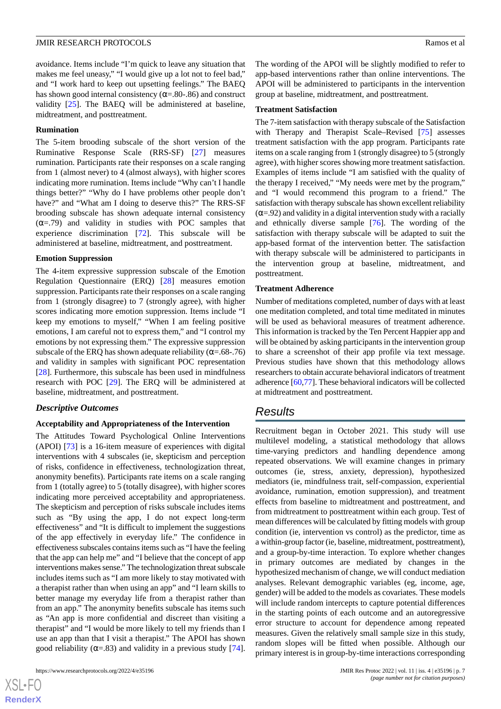avoidance. Items include "I'm quick to leave any situation that makes me feel uneasy," "I would give up a lot not to feel bad," and "I work hard to keep out upsetting feelings." The BAEQ has shown good internal consistency ( $\alpha$ =.80-.86) and construct validity [[25\]](#page-9-6). The BAEQ will be administered at baseline, midtreatment, and posttreatment.

#### **Rumination**

The 5-item brooding subscale of the short version of the Ruminative Response Scale (RRS-SF) [\[27](#page-9-8)] measures rumination. Participants rate their responses on a scale ranging from 1 (almost never) to 4 (almost always), with higher scores indicating more rumination. Items include "Why can't I handle things better?" "Why do I have problems other people don't have?" and "What am I doing to deserve this?" The RRS-SF brooding subscale has shown adequate internal consistency  $(\alpha = .79)$  and validity in studies with POC samples that experience discrimination [\[72](#page-11-10)]. This subscale will be administered at baseline, midtreatment, and posttreatment.

#### **Emotion Suppression**

The 4-item expressive suppression subscale of the Emotion Regulation Questionnaire (ERQ) [[28\]](#page-9-9) measures emotion suppression. Participants rate their responses on a scale ranging from 1 (strongly disagree) to 7 (strongly agree), with higher scores indicating more emotion suppression. Items include "I keep my emotions to myself," "When I am feeling positive emotions, I am careful not to express them," and "I control my emotions by not expressing them." The expressive suppression subscale of the ERQ has shown adequate reliability ( $\alpha = .68-.76$ ) and validity in samples with significant POC representation [[28\]](#page-9-9). Furthermore, this subscale has been used in mindfulness research with POC [[29\]](#page-9-10). The ERQ will be administered at baseline, midtreatment, and posttreatment.

#### *Descriptive Outcomes*

#### **Acceptability and Appropriateness of the Intervention**

The Attitudes Toward Psychological Online Interventions (APOI) [[73\]](#page-11-11) is a 16-item measure of experiences with digital interventions with 4 subscales (ie, skepticism and perception of risks, confidence in effectiveness, technologization threat, anonymity benefits). Participants rate items on a scale ranging from 1 (totally agree) to 5 (totally disagree), with higher scores indicating more perceived acceptability and appropriateness. The skepticism and perception of risks subscale includes items such as "By using the app, I do not expect long-term effectiveness" and "It is difficult to implement the suggestions of the app effectively in everyday life." The confidence in effectiveness subscales contains items such as "I have the feeling that the app can help me" and "I believe that the concept of app interventions makes sense." The technologization threat subscale includes items such as "I am more likely to stay motivated with a therapist rather than when using an app" and "I learn skills to better manage my everyday life from a therapist rather than from an app." The anonymity benefits subscale has items such as "An app is more confidential and discreet than visiting a therapist" and "I would be more likely to tell my friends than I use an app than that I visit a therapist." The APOI has shown good reliability ( $\alpha$ =.83) and validity in a previous study [[74\]](#page-11-12).

The wording of the APOI will be slightly modified to refer to app-based interventions rather than online interventions. The APOI will be administered to participants in the intervention group at baseline, midtreatment, and posttreatment.

#### **Treatment Satisfaction**

The 7-item satisfaction with therapy subscale of the Satisfaction with Therapy and Therapist Scale–Revised [\[75](#page-11-13)] assesses treatment satisfaction with the app program. Participants rate items on a scale ranging from 1 (strongly disagree) to 5 (strongly agree), with higher scores showing more treatment satisfaction. Examples of items include "I am satisfied with the quality of the therapy I received," "My needs were met by the program," and "I would recommend this program to a friend." The satisfaction with therapy subscale has shown excellent reliability  $(\alpha = .92)$  and validity in a digital intervention study with a racially and ethnically diverse sample [[76\]](#page-11-14). The wording of the satisfaction with therapy subscale will be adapted to suit the app-based format of the intervention better. The satisfaction with therapy subscale will be administered to participants in the intervention group at baseline, midtreatment, and posttreatment.

### **Treatment Adherence**

Number of meditations completed, number of days with at least one meditation completed, and total time meditated in minutes will be used as behavioral measures of treatment adherence. This information is tracked by the Ten Percent Happier app and will be obtained by asking participants in the intervention group to share a screenshot of their app profile via text message. Previous studies have shown that this methodology allows researchers to obtain accurate behavioral indicators of treatment adherence [[60](#page-10-21)[,77](#page-11-15)]. These behavioral indicators will be collected at midtreatment and posttreatment.

### *Results*

Recruitment began in October 2021. This study will use multilevel modeling, a statistical methodology that allows time-varying predictors and handling dependence among repeated observations. We will examine changes in primary outcomes (ie, stress, anxiety, depression), hypothesized mediators (ie, mindfulness trait, self-compassion, experiential avoidance, rumination, emotion suppression), and treatment effects from baseline to midtreatment and posttreatment, and from midtreatment to posttreatment within each group. Test of mean differences will be calculated by fitting models with group condition (ie, intervention vs control) as the predictor, time as a within-group factor (ie, baseline, midtreatment, posttreatment), and a group-by-time interaction. To explore whether changes in primary outcomes are mediated by changes in the hypothesized mechanism of change, we will conduct mediation analyses. Relevant demographic variables (eg, income, age, gender) will be added to the models as covariates. These models will include random intercepts to capture potential differences in the starting points of each outcome and an autoregressive error structure to account for dependence among repeated measures. Given the relatively small sample size in this study, random slopes will be fitted when possible. Although our primary interest is in group-by-time interactions corresponding

 $XS$ -FO **[RenderX](http://www.renderx.com/)**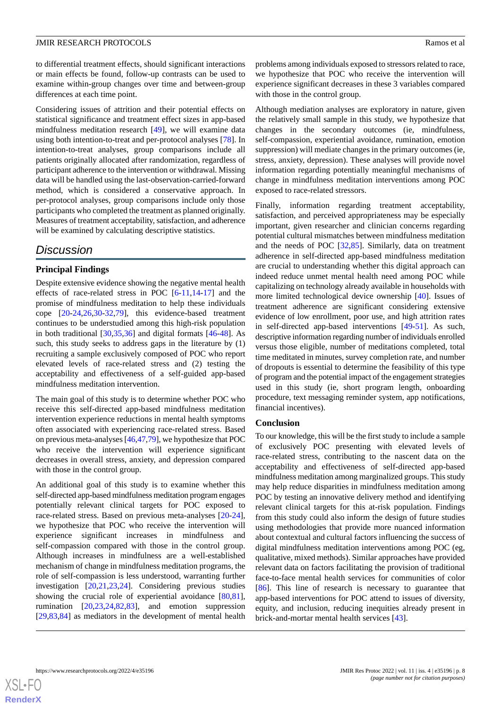to differential treatment effects, should significant interactions or main effects be found, follow-up contrasts can be used to examine within-group changes over time and between-group differences at each time point.

Considering issues of attrition and their potential effects on statistical significance and treatment effect sizes in app-based mindfulness meditation research [[49\]](#page-10-10), we will examine data using both intention-to-treat and per-protocol analyses [\[78](#page-11-16)]. In intention-to-treat analyses, group comparisons include all patients originally allocated after randomization, regardless of participant adherence to the intervention or withdrawal. Missing data will be handled using the last-observation-carried-forward method, which is considered a conservative approach. In per-protocol analyses, group comparisons include only those participants who completed the treatment as planned originally. Measures of treatment acceptability, satisfaction, and adherence will be examined by calculating descriptive statistics.

# *Discussion*

### **Principal Findings**

Despite extensive evidence showing the negative mental health effects of race-related stress in POC [\[6](#page-8-5)-[11,](#page-8-8)[14](#page-8-11)-[17\]](#page-9-1) and the promise of mindfulness meditation to help these individuals cope [\[20](#page-9-4)[-24](#page-9-5),[26](#page-9-7)[,30](#page-9-11)-[32,](#page-9-12)[79](#page-11-17)], this evidence-based treatment continues to be understudied among this high-risk population in both traditional  $[30,35,36]$  $[30,35,36]$  $[30,35,36]$  $[30,35,36]$  and digital formats  $[46-48]$  $[46-48]$  $[46-48]$ . As such, this study seeks to address gaps in the literature by (1) recruiting a sample exclusively composed of POC who report elevated levels of race-related stress and (2) testing the acceptability and effectiveness of a self-guided app-based mindfulness meditation intervention.

The main goal of this study is to determine whether POC who receive this self-directed app-based mindfulness meditation intervention experience reductions in mental health symptoms often associated with experiencing race-related stress. Based on previous meta-analyses [\[46](#page-10-7)[,47](#page-10-9),[79\]](#page-11-17), we hypothesize that POC who receive the intervention will experience significant decreases in overall stress, anxiety, and depression compared with those in the control group.

An additional goal of this study is to examine whether this self-directed app-based mindfulness meditation program engages potentially relevant clinical targets for POC exposed to race-related stress. Based on previous meta-analyses [\[20](#page-9-4)-[24\]](#page-9-5), we hypothesize that POC who receive the intervention will experience significant increases in mindfulness and self-compassion compared with those in the control group. Although increases in mindfulness are a well-established mechanism of change in mindfulness meditation programs, the role of self-compassion is less understood, warranting further investigation [[20,](#page-9-4)[21](#page-9-20),[23,](#page-9-21)[24](#page-9-5)]. Considering previous studies showing the crucial role of experiential avoidance [\[80](#page-11-18),[81\]](#page-11-19), rumination [\[20](#page-9-4),[23,](#page-9-21)[24](#page-9-5),[82,](#page-11-20)[83](#page-11-21)], and emotion suppression [[29](#page-9-10)[,83](#page-11-21),[84\]](#page-12-0) as mediators in the development of mental health

problems among individuals exposed to stressors related to race, we hypothesize that POC who receive the intervention will experience significant decreases in these 3 variables compared with those in the control group.

Although mediation analyses are exploratory in nature, given the relatively small sample in this study, we hypothesize that changes in the secondary outcomes (ie, mindfulness, self-compassion, experiential avoidance, rumination, emotion suppression) will mediate changes in the primary outcomes (ie, stress, anxiety, depression). These analyses will provide novel information regarding potentially meaningful mechanisms of change in mindfulness meditation interventions among POC exposed to race-related stressors.

Finally, information regarding treatment acceptability, satisfaction, and perceived appropriateness may be especially important, given researcher and clinician concerns regarding potential cultural mismatches between mindfulness meditation and the needs of POC [[32,](#page-9-12)[85](#page-12-1)]. Similarly, data on treatment adherence in self-directed app-based mindfulness meditation are crucial to understanding whether this digital approach can indeed reduce unmet mental health need among POC while capitalizing on technology already available in households with more limited technological device ownership [\[40](#page-10-1)]. Issues of treatment adherence are significant considering extensive evidence of low enrollment, poor use, and high attrition rates in self-directed app-based interventions [\[49](#page-10-10)-[51\]](#page-10-12). As such, descriptive information regarding number of individuals enrolled versus those eligible, number of meditations completed, total time meditated in minutes, survey completion rate, and number of dropouts is essential to determine the feasibility of this type of program and the potential impact of the engagement strategies used in this study (ie, short program length, onboarding procedure, text messaging reminder system, app notifications, financial incentives).

### **Conclusion**

To our knowledge, this will be the first study to include a sample of exclusively POC presenting with elevated levels of race-related stress, contributing to the nascent data on the acceptability and effectiveness of self-directed app-based mindfulness meditation among marginalized groups. This study may help reduce disparities in mindfulness meditation among POC by testing an innovative delivery method and identifying relevant clinical targets for this at-risk population. Findings from this study could also inform the design of future studies using methodologies that provide more nuanced information about contextual and cultural factors influencing the success of digital mindfulness meditation interventions among POC (eg, qualitative, mixed methods). Similar approaches have provided relevant data on factors facilitating the provision of traditional face-to-face mental health services for communities of color [[86\]](#page-12-2). This line of research is necessary to guarantee that app-based interventions for POC attend to issues of diversity, equity, and inclusion, reducing inequities already present in brick-and-mortar mental health services [\[43](#page-10-4)].

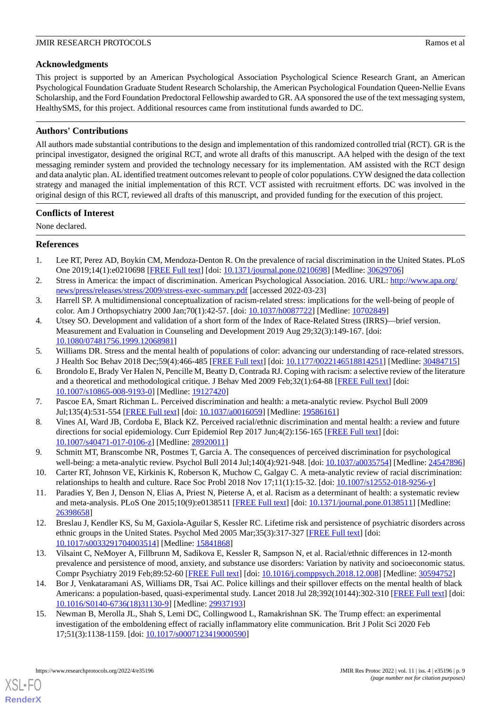### **Acknowledgments**

This project is supported by an American Psychological Association Psychological Science Research Grant, an American Psychological Foundation Graduate Student Research Scholarship, the American Psychological Foundation Queen-Nellie Evans Scholarship, and the Ford Foundation Predoctoral Fellowship awarded to GR. AA sponsored the use of the text messaging system, HealthySMS, for this project. Additional resources came from institutional funds awarded to DC.

## **Authors' Contributions**

All authors made substantial contributions to the design and implementation of this randomized controlled trial (RCT). GR is the principal investigator, designed the original RCT, and wrote all drafts of this manuscript. AA helped with the design of the text messaging reminder system and provided the technology necessary for its implementation. AM assisted with the RCT design and data analytic plan. AL identified treatment outcomes relevant to people of color populations. CYW designed the data collection strategy and managed the initial implementation of this RCT. VCT assisted with recruitment efforts. DC was involved in the original design of this RCT, reviewed all drafts of this manuscript, and provided funding for the execution of this project.

### **Conflicts of Interest**

<span id="page-8-0"></span>None declared.

### **References**

- <span id="page-8-1"></span>1. Lee RT, Perez AD, Boykin CM, Mendoza-Denton R. On the prevalence of racial discrimination in the United States. PLoS One 2019;14(1):e0210698 [\[FREE Full text\]](https://dx.plos.org/10.1371/journal.pone.0210698) [doi: [10.1371/journal.pone.0210698\]](http://dx.doi.org/10.1371/journal.pone.0210698) [Medline: [30629706\]](http://www.ncbi.nlm.nih.gov/entrez/query.fcgi?cmd=Retrieve&db=PubMed&list_uids=30629706&dopt=Abstract)
- <span id="page-8-3"></span><span id="page-8-2"></span>2. Stress in America: the impact of discrimination. American Psychological Association. 2016. URL: [http://www.apa.org/](http://www.apa.org/news/press/releases/stress/2009/stress-exec-summary.pdf) [news/press/releases/stress/2009/stress-exec-summary.pdf](http://www.apa.org/news/press/releases/stress/2009/stress-exec-summary.pdf) [accessed 2022-03-23]
- 3. Harrell SP. A multidimensional conceptualization of racism-related stress: implications for the well-being of people of color. Am J Orthopsychiatry 2000 Jan;70(1):42-57. [doi: [10.1037/h0087722\]](http://dx.doi.org/10.1037/h0087722) [Medline: [10702849\]](http://www.ncbi.nlm.nih.gov/entrez/query.fcgi?cmd=Retrieve&db=PubMed&list_uids=10702849&dopt=Abstract)
- <span id="page-8-5"></span><span id="page-8-4"></span>4. Utsey SO. Development and validation of a short form of the Index of Race-Related Stress (IRRS)—brief version. Measurement and Evaluation in Counseling and Development 2019 Aug 29;32(3):149-167. [doi: [10.1080/07481756.1999.12068981\]](http://dx.doi.org/10.1080/07481756.1999.12068981)
- 5. Williams DR. Stress and the mental health of populations of color: advancing our understanding of race-related stressors. J Health Soc Behav 2018 Dec;59(4):466-485 [\[FREE Full text\]](http://europepmc.org/abstract/MED/30484715) [doi: [10.1177/0022146518814251](http://dx.doi.org/10.1177/0022146518814251)] [Medline: [30484715](http://www.ncbi.nlm.nih.gov/entrez/query.fcgi?cmd=Retrieve&db=PubMed&list_uids=30484715&dopt=Abstract)]
- <span id="page-8-6"></span>6. Brondolo E, Brady Ver Halen N, Pencille M, Beatty D, Contrada RJ. Coping with racism: a selective review of the literature and a theoretical and methodological critique. J Behav Med 2009 Feb;32(1):64-88 [\[FREE Full text\]](http://europepmc.org/abstract/MED/19127420) [doi: [10.1007/s10865-008-9193-0\]](http://dx.doi.org/10.1007/s10865-008-9193-0) [Medline: [19127420](http://www.ncbi.nlm.nih.gov/entrez/query.fcgi?cmd=Retrieve&db=PubMed&list_uids=19127420&dopt=Abstract)]
- <span id="page-8-7"></span>7. Pascoe EA, Smart Richman L. Perceived discrimination and health: a meta-analytic review. Psychol Bull 2009 Jul;135(4):531-554 [[FREE Full text\]](http://europepmc.org/abstract/MED/19586161) [doi: [10.1037/a0016059\]](http://dx.doi.org/10.1037/a0016059) [Medline: [19586161\]](http://www.ncbi.nlm.nih.gov/entrez/query.fcgi?cmd=Retrieve&db=PubMed&list_uids=19586161&dopt=Abstract)
- 8. Vines AI, Ward JB, Cordoba E, Black KZ. Perceived racial/ethnic discrimination and mental health: a review and future directions for social epidemiology. Curr Epidemiol Rep 2017 Jun;4(2):156-165 [\[FREE Full text\]](http://europepmc.org/abstract/MED/28920011) [doi: [10.1007/s40471-017-0106-z](http://dx.doi.org/10.1007/s40471-017-0106-z)] [Medline: [28920011\]](http://www.ncbi.nlm.nih.gov/entrez/query.fcgi?cmd=Retrieve&db=PubMed&list_uids=28920011&dopt=Abstract)
- <span id="page-8-8"></span>9. Schmitt MT, Branscombe NR, Postmes T, Garcia A. The consequences of perceived discrimination for psychological well-being: a meta-analytic review. Psychol Bull 2014 Jul;140(4):921-948. [doi: [10.1037/a0035754](http://dx.doi.org/10.1037/a0035754)] [Medline: [24547896](http://www.ncbi.nlm.nih.gov/entrez/query.fcgi?cmd=Retrieve&db=PubMed&list_uids=24547896&dopt=Abstract)]
- <span id="page-8-9"></span>10. Carter RT, Johnson VE, Kirkinis K, Roberson K, Muchow C, Galgay C. A meta-analytic review of racial discrimination: relationships to health and culture. Race Soc Probl 2018 Nov 17;11(1):15-32. [doi: [10.1007/s12552-018-9256-y](http://dx.doi.org/10.1007/s12552-018-9256-y)]
- <span id="page-8-10"></span>11. Paradies Y, Ben J, Denson N, Elias A, Priest N, Pieterse A, et al. Racism as a determinant of health: a systematic review and meta-analysis. PLoS One 2015;10(9):e0138511 [[FREE Full text](https://dx.plos.org/10.1371/journal.pone.0138511)] [doi: [10.1371/journal.pone.0138511](http://dx.doi.org/10.1371/journal.pone.0138511)] [Medline: [26398658](http://www.ncbi.nlm.nih.gov/entrez/query.fcgi?cmd=Retrieve&db=PubMed&list_uids=26398658&dopt=Abstract)]
- <span id="page-8-11"></span>12. Breslau J, Kendler KS, Su M, Gaxiola-Aguilar S, Kessler RC. Lifetime risk and persistence of psychiatric disorders across ethnic groups in the United States. Psychol Med 2005 Mar;35(3):317-327 [\[FREE Full text\]](http://europepmc.org/abstract/MED/15841868) [doi: [10.1017/s0033291704003514\]](http://dx.doi.org/10.1017/s0033291704003514) [Medline: [15841868\]](http://www.ncbi.nlm.nih.gov/entrez/query.fcgi?cmd=Retrieve&db=PubMed&list_uids=15841868&dopt=Abstract)
- <span id="page-8-12"></span>13. Vilsaint C, NeMoyer A, Fillbrunn M, Sadikova E, Kessler R, Sampson N, et al. Racial/ethnic differences in 12-month prevalence and persistence of mood, anxiety, and substance use disorders: Variation by nativity and socioeconomic status. Compr Psychiatry 2019 Feb;89:52-60 [[FREE Full text](https://linkinghub.elsevier.com/retrieve/pii/S0010-440X(18)30210-4)] [doi: [10.1016/j.comppsych.2018.12.008\]](http://dx.doi.org/10.1016/j.comppsych.2018.12.008) [Medline: [30594752\]](http://www.ncbi.nlm.nih.gov/entrez/query.fcgi?cmd=Retrieve&db=PubMed&list_uids=30594752&dopt=Abstract)
- 14. Bor J, Venkataramani AS, Williams DR, Tsai AC. Police killings and their spillover effects on the mental health of black Americans: a population-based, quasi-experimental study. Lancet 2018 Jul 28;392(10144):302-310 [[FREE Full text](http://europepmc.org/abstract/MED/29937193)] [doi: [10.1016/S0140-6736\(18\)31130-9\]](http://dx.doi.org/10.1016/S0140-6736(18)31130-9) [Medline: [29937193](http://www.ncbi.nlm.nih.gov/entrez/query.fcgi?cmd=Retrieve&db=PubMed&list_uids=29937193&dopt=Abstract)]
- 15. Newman B, Merolla JL, Shah S, Lemi DC, Collingwood L, Ramakrishnan SK. The Trump effect: an experimental investigation of the emboldening effect of racially inflammatory elite communication. Brit J Polit Sci 2020 Feb 17;51(3):1138-1159. [doi: [10.1017/s0007123419000590\]](http://dx.doi.org/10.1017/s0007123419000590)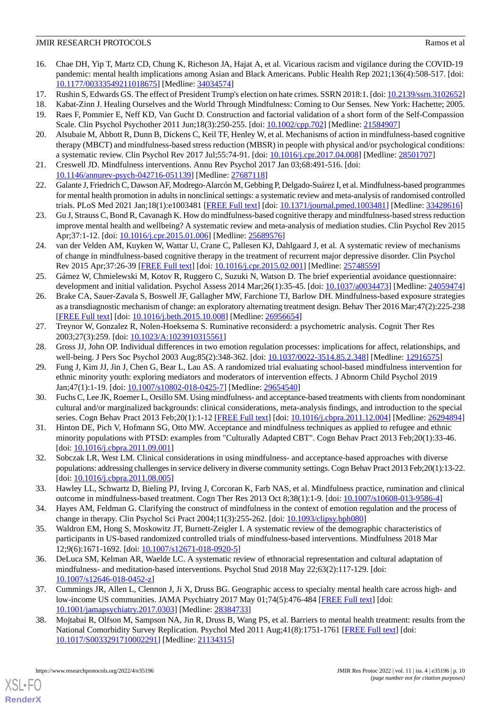- <span id="page-9-0"></span>16. Chae DH, Yip T, Martz CD, Chung K, Richeson JA, Hajat A, et al. Vicarious racism and vigilance during the COVID-19 pandemic: mental health implications among Asian and Black Americans. Public Health Rep 2021;136(4):508-517. [doi: [10.1177/00333549211018675\]](http://dx.doi.org/10.1177/00333549211018675) [Medline: [34034574\]](http://www.ncbi.nlm.nih.gov/entrez/query.fcgi?cmd=Retrieve&db=PubMed&list_uids=34034574&dopt=Abstract)
- <span id="page-9-2"></span><span id="page-9-1"></span>17. Rushin S, Edwards GS. The effect of President Trump's election on hate crimes. SSRN 2018:1. [doi: [10.2139/ssrn.3102652](http://dx.doi.org/10.2139/ssrn.3102652)]
- <span id="page-9-3"></span>18. Kabat-Zinn J. Healing Ourselves and the World Through Mindfulness: Coming to Our Senses. New York: Hachette; 2005.
- <span id="page-9-4"></span>19. Raes F, Pommier E, Neff KD, Van Gucht D. Construction and factorial validation of a short form of the Self-Compassion Scale. Clin Psychol Psychother 2011 Jun;18(3):250-255. [doi: [10.1002/cpp.702\]](http://dx.doi.org/10.1002/cpp.702) [Medline: [21584907](http://www.ncbi.nlm.nih.gov/entrez/query.fcgi?cmd=Retrieve&db=PubMed&list_uids=21584907&dopt=Abstract)]
- <span id="page-9-20"></span>20. Alsubaie M, Abbott R, Dunn B, Dickens C, Keil TF, Henley W, et al. Mechanisms of action in mindfulness-based cognitive therapy (MBCT) and mindfulness-based stress reduction (MBSR) in people with physical and/or psychological conditions: a systematic review. Clin Psychol Rev 2017 Jul;55:74-91. [doi: [10.1016/j.cpr.2017.04.008](http://dx.doi.org/10.1016/j.cpr.2017.04.008)] [Medline: [28501707](http://www.ncbi.nlm.nih.gov/entrez/query.fcgi?cmd=Retrieve&db=PubMed&list_uids=28501707&dopt=Abstract)]
- <span id="page-9-19"></span>21. Creswell JD. Mindfulness interventions. Annu Rev Psychol 2017 Jan 03;68:491-516. [doi: [10.1146/annurev-psych-042716-051139](http://dx.doi.org/10.1146/annurev-psych-042716-051139)] [Medline: [27687118\]](http://www.ncbi.nlm.nih.gov/entrez/query.fcgi?cmd=Retrieve&db=PubMed&list_uids=27687118&dopt=Abstract)
- <span id="page-9-21"></span>22. Galante J, Friedrich C, Dawson AF, Modrego-Alarcón M, Gebbing P, Delgado-Suárez I, et al. Mindfulness-based programmes for mental health promotion in adults in nonclinical settings: a systematic review and meta-analysis of randomised controlled trials. PLoS Med 2021 Jan;18(1):e1003481 [\[FREE Full text\]](https://dx.plos.org/10.1371/journal.pmed.1003481) [doi: [10.1371/journal.pmed.1003481\]](http://dx.doi.org/10.1371/journal.pmed.1003481) [Medline: [33428616\]](http://www.ncbi.nlm.nih.gov/entrez/query.fcgi?cmd=Retrieve&db=PubMed&list_uids=33428616&dopt=Abstract)
- <span id="page-9-5"></span>23. Gu J, Strauss C, Bond R, Cavanagh K. How do mindfulness-based cognitive therapy and mindfulness-based stress reduction improve mental health and wellbeing? A systematic review and meta-analysis of mediation studies. Clin Psychol Rev 2015 Apr;37:1-12. [doi: [10.1016/j.cpr.2015.01.006\]](http://dx.doi.org/10.1016/j.cpr.2015.01.006) [Medline: [25689576](http://www.ncbi.nlm.nih.gov/entrez/query.fcgi?cmd=Retrieve&db=PubMed&list_uids=25689576&dopt=Abstract)]
- <span id="page-9-6"></span>24. van der Velden AM, Kuyken W, Wattar U, Crane C, Pallesen KJ, Dahlgaard J, et al. A systematic review of mechanisms of change in mindfulness-based cognitive therapy in the treatment of recurrent major depressive disorder. Clin Psychol Rev 2015 Apr;37:26-39 [[FREE Full text](https://linkinghub.elsevier.com/retrieve/pii/S0272-7358(15)00020-3)] [doi: [10.1016/j.cpr.2015.02.001\]](http://dx.doi.org/10.1016/j.cpr.2015.02.001) [Medline: [25748559](http://www.ncbi.nlm.nih.gov/entrez/query.fcgi?cmd=Retrieve&db=PubMed&list_uids=25748559&dopt=Abstract)]
- <span id="page-9-7"></span>25. Gámez W, Chmielewski M, Kotov R, Ruggero C, Suzuki N, Watson D. The brief experiential avoidance questionnaire: development and initial validation. Psychol Assess 2014 Mar;26(1):35-45. [doi: [10.1037/a0034473\]](http://dx.doi.org/10.1037/a0034473) [Medline: [24059474](http://www.ncbi.nlm.nih.gov/entrez/query.fcgi?cmd=Retrieve&db=PubMed&list_uids=24059474&dopt=Abstract)]
- <span id="page-9-8"></span>26. Brake CA, Sauer-Zavala S, Boswell JF, Gallagher MW, Farchione TJ, Barlow DH. Mindfulness-based exposure strategies as a transdiagnostic mechanism of change: an exploratory alternating treatment design. Behav Ther 2016 Mar;47(2):225-238 [[FREE Full text](http://europepmc.org/abstract/MED/26956654)] [doi: [10.1016/j.beth.2015.10.008\]](http://dx.doi.org/10.1016/j.beth.2015.10.008) [Medline: [26956654\]](http://www.ncbi.nlm.nih.gov/entrez/query.fcgi?cmd=Retrieve&db=PubMed&list_uids=26956654&dopt=Abstract)
- <span id="page-9-10"></span><span id="page-9-9"></span>27. Treynor W, Gonzalez R, Nolen-Hoeksema S. Ruminative reconsiderd: a psychometric analysis. Cognit Ther Res 2003;27(3):259. [doi: [10.1023/A:1023910315561](http://dx.doi.org/10.1023/A:1023910315561)]
- 28. Gross JJ, John OP. Individual differences in two emotion regulation processes: implications for affect, relationships, and well-being. J Pers Soc Psychol 2003 Aug;85(2):348-362. [doi: [10.1037/0022-3514.85.2.348\]](http://dx.doi.org/10.1037/0022-3514.85.2.348) [Medline: [12916575\]](http://www.ncbi.nlm.nih.gov/entrez/query.fcgi?cmd=Retrieve&db=PubMed&list_uids=12916575&dopt=Abstract)
- <span id="page-9-11"></span>29. Fung J, Kim JJ, Jin J, Chen G, Bear L, Lau AS. A randomized trial evaluating school-based mindfulness intervention for ethnic minority youth: exploring mediators and moderators of intervention effects. J Abnorm Child Psychol 2019 Jan;47(1):1-19. [doi: [10.1007/s10802-018-0425-7\]](http://dx.doi.org/10.1007/s10802-018-0425-7) [Medline: [29654540\]](http://www.ncbi.nlm.nih.gov/entrez/query.fcgi?cmd=Retrieve&db=PubMed&list_uids=29654540&dopt=Abstract)
- <span id="page-9-12"></span>30. Fuchs C, Lee JK, Roemer L, Orsillo SM. Using mindfulness- and acceptance-based treatments with clients from nondominant cultural and/or marginalized backgrounds: clinical considerations, meta-analysis findings, and introduction to the special series. Cogn Behav Pract 2013 Feb;20(1):1-12 [\[FREE Full text\]](http://europepmc.org/abstract/MED/26294894) [doi: [10.1016/j.cbpra.2011.12.004](http://dx.doi.org/10.1016/j.cbpra.2011.12.004)] [Medline: [26294894\]](http://www.ncbi.nlm.nih.gov/entrez/query.fcgi?cmd=Retrieve&db=PubMed&list_uids=26294894&dopt=Abstract)
- <span id="page-9-13"></span>31. Hinton DE, Pich V, Hofmann SG, Otto MW. Acceptance and mindfulness techniques as applied to refugee and ethnic minority populations with PTSD: examples from "Culturally Adapted CBT". Cogn Behav Pract 2013 Feb;20(1):33-46. [doi: [10.1016/j.cbpra.2011.09.001](http://dx.doi.org/10.1016/j.cbpra.2011.09.001)]
- <span id="page-9-14"></span>32. Sobczak LR, West LM. Clinical considerations in using mindfulness- and acceptance-based approaches with diverse populations: addressing challenges in service delivery in diverse community settings. Cogn Behav Pract 2013 Feb;20(1):13-22. [doi: [10.1016/j.cbpra.2011.08.005](http://dx.doi.org/10.1016/j.cbpra.2011.08.005)]
- <span id="page-9-15"></span>33. Hawley LL, Schwartz D, Bieling PJ, Irving J, Corcoran K, Farb NAS, et al. Mindfulness practice, rumination and clinical outcome in mindfulness-based treatment. Cogn Ther Res 2013 Oct 8;38(1):1-9. [doi: [10.1007/s10608-013-9586-4\]](http://dx.doi.org/10.1007/s10608-013-9586-4)
- <span id="page-9-16"></span>34. Hayes AM, Feldman G. Clarifying the construct of mindfulness in the context of emotion regulation and the process of change in therapy. Clin Psychol Sci Pract 2004;11(3):255-262. [doi: [10.1093/clipsy.bph080](http://dx.doi.org/10.1093/clipsy.bph080)]
- <span id="page-9-17"></span>35. Waldron EM, Hong S, Moskowitz JT, Burnett-Zeigler I. A systematic review of the demographic characteristics of participants in US-based randomized controlled trials of mindfulness-based interventions. Mindfulness 2018 Mar 12;9(6):1671-1692. [doi: [10.1007/s12671-018-0920-5\]](http://dx.doi.org/10.1007/s12671-018-0920-5)
- <span id="page-9-18"></span>36. DeLuca SM, Kelman AR, Waelde LC. A systematic review of ethnoracial representation and cultural adaptation of mindfulness- and meditation-based interventions. Psychol Stud 2018 May 22;63(2):117-129. [doi: [10.1007/s12646-018-0452-z](http://dx.doi.org/10.1007/s12646-018-0452-z)]
- 37. Cummings JR, Allen L, Clennon J, Ji X, Druss BG. Geographic access to specialty mental health care across high- and low-income US communities. JAMA Psychiatry 2017 May 01;74(5):476-484 [\[FREE Full text](http://europepmc.org/abstract/MED/28384733)] [doi: [10.1001/jamapsychiatry.2017.0303](http://dx.doi.org/10.1001/jamapsychiatry.2017.0303)] [Medline: [28384733](http://www.ncbi.nlm.nih.gov/entrez/query.fcgi?cmd=Retrieve&db=PubMed&list_uids=28384733&dopt=Abstract)]
- 38. Mojtabai R, Olfson M, Sampson NA, Jin R, Druss B, Wang PS, et al. Barriers to mental health treatment: results from the National Comorbidity Survey Replication. Psychol Med 2011 Aug;41(8):1751-1761 [[FREE Full text](http://europepmc.org/abstract/MED/21134315)] [doi: [10.1017/S0033291710002291](http://dx.doi.org/10.1017/S0033291710002291)] [Medline: [21134315](http://www.ncbi.nlm.nih.gov/entrez/query.fcgi?cmd=Retrieve&db=PubMed&list_uids=21134315&dopt=Abstract)]

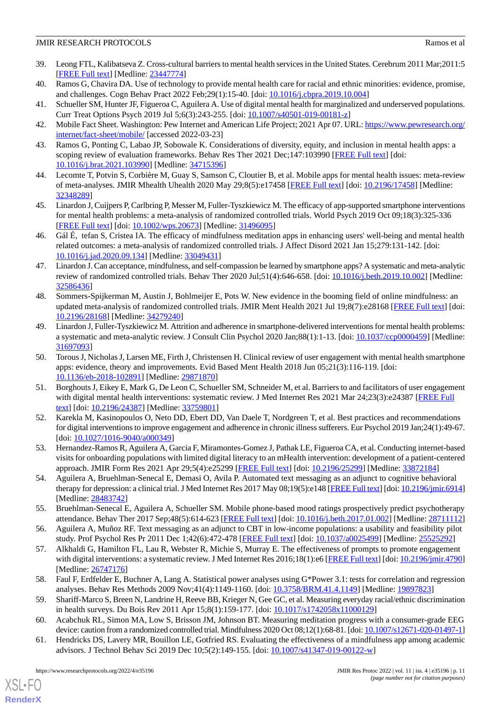- <span id="page-10-0"></span>39. Leong FTL, Kalibatseva Z. Cross-cultural barriers to mental health services in the United States. Cerebrum 2011 Mar;2011:5 [[FREE Full text](http://europepmc.org/abstract/MED/23447774)] [Medline: [23447774](http://www.ncbi.nlm.nih.gov/entrez/query.fcgi?cmd=Retrieve&db=PubMed&list_uids=23447774&dopt=Abstract)]
- <span id="page-10-2"></span><span id="page-10-1"></span>40. Ramos G, Chavira DA. Use of technology to provide mental health care for racial and ethnic minorities: evidence, promise, and challenges. Cogn Behav Pract 2022 Feb;29(1):15-40. [doi: [10.1016/j.cbpra.2019.10.004\]](http://dx.doi.org/10.1016/j.cbpra.2019.10.004)
- <span id="page-10-3"></span>41. Schueller SM, Hunter JF, Figueroa C, Aguilera A. Use of digital mental health for marginalized and underserved populations. Curr Treat Options Psych 2019 Jul 5;6(3):243-255. [doi: [10.1007/s40501-019-00181-z](http://dx.doi.org/10.1007/s40501-019-00181-z)]
- <span id="page-10-4"></span>42. Mobile Fact Sheet. Washington: Pew Internet and American Life Project; 2021 Apr 07. URL: [https://www.pewresearch.org/](https://www.pewresearch.org/internet/fact-sheet/mobile/) [internet/fact-sheet/mobile/](https://www.pewresearch.org/internet/fact-sheet/mobile/) [accessed 2022-03-23]
- <span id="page-10-5"></span>43. Ramos G, Ponting C, Labao JP, Sobowale K. Considerations of diversity, equity, and inclusion in mental health apps: a scoping review of evaluation frameworks. Behav Res Ther 2021 Dec;147:103990 [[FREE Full text](https://linkinghub.elsevier.com/retrieve/pii/S0005-7967(21)00189-3)] [doi: [10.1016/j.brat.2021.103990\]](http://dx.doi.org/10.1016/j.brat.2021.103990) [Medline: [34715396](http://www.ncbi.nlm.nih.gov/entrez/query.fcgi?cmd=Retrieve&db=PubMed&list_uids=34715396&dopt=Abstract)]
- <span id="page-10-6"></span>44. Lecomte T, Potvin S, Corbière M, Guay S, Samson C, Cloutier B, et al. Mobile apps for mental health issues: meta-review of meta-analyses. JMIR Mhealth Uhealth 2020 May 29;8(5):e17458 [\[FREE Full text\]](https://mhealth.jmir.org/2020/5/e17458/) [doi: [10.2196/17458](http://dx.doi.org/10.2196/17458)] [Medline: [32348289](http://www.ncbi.nlm.nih.gov/entrez/query.fcgi?cmd=Retrieve&db=PubMed&list_uids=32348289&dopt=Abstract)]
- <span id="page-10-7"></span>45. Linardon J, Cuijpers P, Carlbring P, Messer M, Fuller-Tyszkiewicz M. The efficacy of app-supported smartphone interventions for mental health problems: a meta-analysis of randomized controlled trials. World Psych 2019 Oct 09;18(3):325-336 [[FREE Full text](https://doi.org/10.1002/wps.20673)] [doi: [10.1002/wps.20673](http://dx.doi.org/10.1002/wps.20673)] [Medline: [31496095](http://www.ncbi.nlm.nih.gov/entrez/query.fcgi?cmd=Retrieve&db=PubMed&list_uids=31496095&dopt=Abstract)]
- <span id="page-10-9"></span>46. Gál É, tefan S, Cristea IA. The efficacy of mindfulness meditation apps in enhancing users' well-being and mental health related outcomes: a meta-analysis of randomized controlled trials. J Affect Disord 2021 Jan 15;279:131-142. [doi: [10.1016/j.jad.2020.09.134\]](http://dx.doi.org/10.1016/j.jad.2020.09.134) [Medline: [33049431\]](http://www.ncbi.nlm.nih.gov/entrez/query.fcgi?cmd=Retrieve&db=PubMed&list_uids=33049431&dopt=Abstract)
- <span id="page-10-8"></span>47. Linardon J. Can acceptance, mindfulness, and self-compassion be learned by smartphone apps? A systematic and meta-analytic review of randomized controlled trials. Behav Ther 2020 Jul;51(4):646-658. [doi: [10.1016/j.beth.2019.10.002\]](http://dx.doi.org/10.1016/j.beth.2019.10.002) [Medline: [32586436](http://www.ncbi.nlm.nih.gov/entrez/query.fcgi?cmd=Retrieve&db=PubMed&list_uids=32586436&dopt=Abstract)]
- <span id="page-10-10"></span>48. Sommers-Spijkerman M, Austin J, Bohlmeijer E, Pots W. New evidence in the booming field of online mindfulness: an updated meta-analysis of randomized controlled trials. JMIR Ment Health 2021 Jul 19;8(7):e28168 [[FREE Full text](https://mental.jmir.org/2021/7/e28168/)] [doi: [10.2196/28168\]](http://dx.doi.org/10.2196/28168) [Medline: [34279240\]](http://www.ncbi.nlm.nih.gov/entrez/query.fcgi?cmd=Retrieve&db=PubMed&list_uids=34279240&dopt=Abstract)
- <span id="page-10-11"></span>49. Linardon J, Fuller-Tyszkiewicz M. Attrition and adherence in smartphone-delivered interventions for mental health problems: a systematic and meta-analytic review. J Consult Clin Psychol 2020 Jan;88(1):1-13. [doi: [10.1037/ccp0000459\]](http://dx.doi.org/10.1037/ccp0000459) [Medline: [31697093](http://www.ncbi.nlm.nih.gov/entrez/query.fcgi?cmd=Retrieve&db=PubMed&list_uids=31697093&dopt=Abstract)]
- <span id="page-10-12"></span>50. Torous J, Nicholas J, Larsen ME, Firth J, Christensen H. Clinical review of user engagement with mental health smartphone apps: evidence, theory and improvements. Evid Based Ment Health 2018 Jun 05;21(3):116-119. [doi: [10.1136/eb-2018-102891\]](http://dx.doi.org/10.1136/eb-2018-102891) [Medline: [29871870\]](http://www.ncbi.nlm.nih.gov/entrez/query.fcgi?cmd=Retrieve&db=PubMed&list_uids=29871870&dopt=Abstract)
- <span id="page-10-13"></span>51. Borghouts J, Eikey E, Mark G, De Leon C, Schueller SM, Schneider M, et al. Barriers to and facilitators of user engagement with digital mental health interventions: systematic review. J Med Internet Res 2021 Mar 24;23(3):e24387 [\[FREE Full](https://www.jmir.org/2021/3/e24387/) [text](https://www.jmir.org/2021/3/e24387/)] [doi: [10.2196/24387\]](http://dx.doi.org/10.2196/24387) [Medline: [33759801\]](http://www.ncbi.nlm.nih.gov/entrez/query.fcgi?cmd=Retrieve&db=PubMed&list_uids=33759801&dopt=Abstract)
- <span id="page-10-15"></span><span id="page-10-14"></span>52. Karekla M, Kasinopoulos O, Neto DD, Ebert DD, Van Daele T, Nordgreen T, et al. Best practices and recommendations for digital interventions to improve engagement and adherence in chronic illness sufferers. Eur Psychol 2019 Jan;24(1):49-67. [doi: [10.1027/1016-9040/a000349\]](http://dx.doi.org/10.1027/1016-9040/a000349)
- <span id="page-10-16"></span>53. Hernandez-Ramos R, Aguilera A, Garcia F, Miramontes-Gomez J, Pathak LE, Figueroa CA, et al. Conducting internet-based visits for onboarding populations with limited digital literacy to an mHealth intervention: development of a patient-centered approach. JMIR Form Res 2021 Apr 29;5(4):e25299 [\[FREE Full text](https://formative.jmir.org/2021/4/e25299/)] [doi: [10.2196/25299\]](http://dx.doi.org/10.2196/25299) [Medline: [33872184\]](http://www.ncbi.nlm.nih.gov/entrez/query.fcgi?cmd=Retrieve&db=PubMed&list_uids=33872184&dopt=Abstract)
- <span id="page-10-17"></span>54. Aguilera A, Bruehlman-Senecal E, Demasi O, Avila P. Automated text messaging as an adjunct to cognitive behavioral therapy for depression: a clinical trial. J Med Internet Res 2017 May 08;19(5):e148 [[FREE Full text](http://www.jmir.org/2017/5/e148/)] [doi: [10.2196/jmir.6914\]](http://dx.doi.org/10.2196/jmir.6914) [Medline: [28483742](http://www.ncbi.nlm.nih.gov/entrez/query.fcgi?cmd=Retrieve&db=PubMed&list_uids=28483742&dopt=Abstract)]
- <span id="page-10-18"></span>55. Bruehlman-Senecal E, Aguilera A, Schueller SM. Mobile phone-based mood ratings prospectively predict psychotherapy attendance. Behav Ther 2017 Sep;48(5):614-623 [[FREE Full text\]](http://europepmc.org/abstract/MED/28711112) [doi: [10.1016/j.beth.2017.01.002](http://dx.doi.org/10.1016/j.beth.2017.01.002)] [Medline: [28711112](http://www.ncbi.nlm.nih.gov/entrez/query.fcgi?cmd=Retrieve&db=PubMed&list_uids=28711112&dopt=Abstract)]
- <span id="page-10-19"></span>56. Aguilera A, Muñoz RF. Text messaging as an adjunct to CBT in low-income populations: a usability and feasibility pilot study. Prof Psychol Res Pr 2011 Dec 1;42(6):472-478 [[FREE Full text](http://europepmc.org/abstract/MED/25525292)] [doi: [10.1037/a0025499](http://dx.doi.org/10.1037/a0025499)] [Medline: [25525292\]](http://www.ncbi.nlm.nih.gov/entrez/query.fcgi?cmd=Retrieve&db=PubMed&list_uids=25525292&dopt=Abstract)
- <span id="page-10-21"></span><span id="page-10-20"></span>57. Alkhaldi G, Hamilton FL, Lau R, Webster R, Michie S, Murray E. The effectiveness of prompts to promote engagement with digital interventions: a systematic review. J Med Internet Res 2016;18(1):e6 [[FREE Full text](http://www.jmir.org/2016/1/e6/)] [doi: [10.2196/jmir.4790](http://dx.doi.org/10.2196/jmir.4790)] [Medline: [26747176](http://www.ncbi.nlm.nih.gov/entrez/query.fcgi?cmd=Retrieve&db=PubMed&list_uids=26747176&dopt=Abstract)]
- 58. Faul F, Erdfelder E, Buchner A, Lang A. Statistical power analyses using G\*Power 3.1: tests for correlation and regression analyses. Behav Res Methods 2009 Nov;41(4):1149-1160. [doi: [10.3758/BRM.41.4.1149\]](http://dx.doi.org/10.3758/BRM.41.4.1149) [Medline: [19897823](http://www.ncbi.nlm.nih.gov/entrez/query.fcgi?cmd=Retrieve&db=PubMed&list_uids=19897823&dopt=Abstract)]
- 59. Shariff-Marco S, Breen N, Landrine H, Reeve BB, Krieger N, Gee GC, et al. Measuring everyday racial/ethnic discrimination in health surveys. Du Bois Rev 2011 Apr 15;8(1):159-177. [doi: [10.1017/s1742058x11000129\]](http://dx.doi.org/10.1017/s1742058x11000129)
- 60. Acabchuk RL, Simon MA, Low S, Brisson JM, Johnson BT. Measuring meditation progress with a consumer-grade EEG device: caution from a randomized controlled trial. Mindfulness 2020 Oct 08;12(1):68-81. [doi: [10.1007/s12671-020-01497-1\]](http://dx.doi.org/10.1007/s12671-020-01497-1)
- 61. Hendricks DS, Lavery MR, Bouillon LE, Gotfried RS. Evaluating the effectiveness of a mindfulness app among academic advisors. J Technol Behav Sci 2019 Dec 10;5(2):149-155. [doi: [10.1007/s41347-019-00122-w](http://dx.doi.org/10.1007/s41347-019-00122-w)]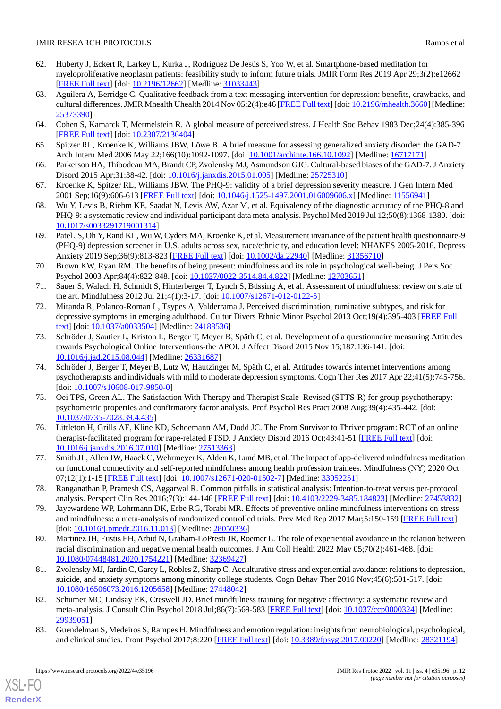- <span id="page-11-0"></span>62. Huberty J, Eckert R, Larkey L, Kurka J, Rodríguez De Jesús S, Yoo W, et al. Smartphone-based meditation for myeloproliferative neoplasm patients: feasibility study to inform future trials. JMIR Form Res 2019 Apr 29;3(2):e12662 [[FREE Full text](https://formative.jmir.org/2019/2/e12662/)] [doi: [10.2196/12662\]](http://dx.doi.org/10.2196/12662) [Medline: [31033443\]](http://www.ncbi.nlm.nih.gov/entrez/query.fcgi?cmd=Retrieve&db=PubMed&list_uids=31033443&dopt=Abstract)
- <span id="page-11-1"></span>63. Aguilera A, Berridge C. Qualitative feedback from a text messaging intervention for depression: benefits, drawbacks, and cultural differences. JMIR Mhealth Uhealth 2014 Nov 05;2(4):e46 [\[FREE Full text](https://mhealth.jmir.org/2014/4/e46/)] [doi: [10.2196/mhealth.3660](http://dx.doi.org/10.2196/mhealth.3660)] [Medline: [25373390](http://www.ncbi.nlm.nih.gov/entrez/query.fcgi?cmd=Retrieve&db=PubMed&list_uids=25373390&dopt=Abstract)]
- <span id="page-11-3"></span><span id="page-11-2"></span>64. Cohen S, Kamarck T, Mermelstein R. A global measure of perceived stress. J Health Soc Behav 1983 Dec;24(4):385-396 [[FREE Full text](https://www.jstor.org/stable/2136404)] [doi: [10.2307/2136404\]](http://dx.doi.org/10.2307/2136404)
- <span id="page-11-4"></span>65. Spitzer RL, Kroenke K, Williams JBW, Löwe B. A brief measure for assessing generalized anxiety disorder: the GAD-7. Arch Intern Med 2006 May 22;166(10):1092-1097. [doi: [10.1001/archinte.166.10.1092](http://dx.doi.org/10.1001/archinte.166.10.1092)] [Medline: [16717171](http://www.ncbi.nlm.nih.gov/entrez/query.fcgi?cmd=Retrieve&db=PubMed&list_uids=16717171&dopt=Abstract)]
- <span id="page-11-5"></span>66. Parkerson HA, Thibodeau MA, Brandt CP, Zvolensky MJ, Asmundson GJG. Cultural-based biases of the GAD-7. J Anxiety Disord 2015 Apr;31:38-42. [doi: [10.1016/j.janxdis.2015.01.005\]](http://dx.doi.org/10.1016/j.janxdis.2015.01.005) [Medline: [25725310](http://www.ncbi.nlm.nih.gov/entrez/query.fcgi?cmd=Retrieve&db=PubMed&list_uids=25725310&dopt=Abstract)]
- <span id="page-11-6"></span>67. Kroenke K, Spitzer RL, Williams JBW. The PHQ-9: validity of a brief depression severity measure. J Gen Intern Med 2001 Sep;16(9):606-613 [\[FREE Full text\]](https://onlinelibrary.wiley.com/resolve/openurl?genre=article&sid=nlm:pubmed&issn=0884-8734&date=2001&volume=16&issue=9&spage=606) [doi: [10.1046/j.1525-1497.2001.016009606.x](http://dx.doi.org/10.1046/j.1525-1497.2001.016009606.x)] [Medline: [11556941](http://www.ncbi.nlm.nih.gov/entrez/query.fcgi?cmd=Retrieve&db=PubMed&list_uids=11556941&dopt=Abstract)]
- <span id="page-11-7"></span>68. Wu Y, Levis B, Riehm KE, Saadat N, Levis AW, Azar M, et al. Equivalency of the diagnostic accuracy of the PHQ-8 and PHQ-9: a systematic review and individual participant data meta-analysis. Psychol Med 2019 Jul 12;50(8):1368-1380. [doi: [10.1017/s0033291719001314\]](http://dx.doi.org/10.1017/s0033291719001314)
- <span id="page-11-8"></span>69. Patel JS, Oh Y, Rand KL, Wu W, Cyders MA, Kroenke K, et al. Measurement invariance of the patient health questionnaire-9 (PHQ-9) depression screener in U.S. adults across sex, race/ethnicity, and education level: NHANES 2005-2016. Depress Anxiety 2019 Sep;36(9):813-823 [\[FREE Full text\]](http://europepmc.org/abstract/MED/31356710) [doi: [10.1002/da.22940\]](http://dx.doi.org/10.1002/da.22940) [Medline: [31356710\]](http://www.ncbi.nlm.nih.gov/entrez/query.fcgi?cmd=Retrieve&db=PubMed&list_uids=31356710&dopt=Abstract)
- <span id="page-11-9"></span>70. Brown KW, Ryan RM. The benefits of being present: mindfulness and its role in psychological well-being. J Pers Soc Psychol 2003 Apr;84(4):822-848. [doi: [10.1037/0022-3514.84.4.822\]](http://dx.doi.org/10.1037/0022-3514.84.4.822) [Medline: [12703651\]](http://www.ncbi.nlm.nih.gov/entrez/query.fcgi?cmd=Retrieve&db=PubMed&list_uids=12703651&dopt=Abstract)
- <span id="page-11-10"></span>71. Sauer S, Walach H, Schmidt S, Hinterberger T, Lynch S, Büssing A, et al. Assessment of mindfulness: review on state of the art. Mindfulness 2012 Jul 21;4(1):3-17. [doi: [10.1007/s12671-012-0122-5](http://dx.doi.org/10.1007/s12671-012-0122-5)]
- <span id="page-11-11"></span>72. Miranda R, Polanco-Roman L, Tsypes A, Valderrama J. Perceived discrimination, ruminative subtypes, and risk for depressive symptoms in emerging adulthood. Cultur Divers Ethnic Minor Psychol 2013 Oct;19(4):395-403 [\[FREE Full](http://europepmc.org/abstract/MED/24188536) [text](http://europepmc.org/abstract/MED/24188536)] [doi: [10.1037/a0033504](http://dx.doi.org/10.1037/a0033504)] [Medline: [24188536](http://www.ncbi.nlm.nih.gov/entrez/query.fcgi?cmd=Retrieve&db=PubMed&list_uids=24188536&dopt=Abstract)]
- <span id="page-11-12"></span>73. Schröder J, Sautier L, Kriston L, Berger T, Meyer B, Späth C, et al. Development of a questionnaire measuring Attitudes towards Psychological Online Interventions-the APOI. J Affect Disord 2015 Nov 15;187:136-141. [doi: [10.1016/j.jad.2015.08.044\]](http://dx.doi.org/10.1016/j.jad.2015.08.044) [Medline: [26331687\]](http://www.ncbi.nlm.nih.gov/entrez/query.fcgi?cmd=Retrieve&db=PubMed&list_uids=26331687&dopt=Abstract)
- <span id="page-11-13"></span>74. Schröder J, Berger T, Meyer B, Lutz W, Hautzinger M, Späth C, et al. Attitudes towards internet interventions among psychotherapists and individuals with mild to moderate depression symptoms. Cogn Ther Res 2017 Apr 22;41(5):745-756. [doi: [10.1007/s10608-017-9850-0](http://dx.doi.org/10.1007/s10608-017-9850-0)]
- <span id="page-11-14"></span>75. Oei TPS, Green AL. The Satisfaction With Therapy and Therapist Scale–Revised (STTS-R) for group psychotherapy: psychometric properties and confirmatory factor analysis. Prof Psychol Res Pract 2008 Aug;39(4):435-442. [doi: [10.1037/0735-7028.39.4.435\]](http://dx.doi.org/10.1037/0735-7028.39.4.435)
- <span id="page-11-16"></span><span id="page-11-15"></span>76. Littleton H, Grills AE, Kline KD, Schoemann AM, Dodd JC. The From Survivor to Thriver program: RCT of an online therapist-facilitated program for rape-related PTSD. J Anxiety Disord 2016 Oct;43:41-51 [\[FREE Full text\]](http://europepmc.org/abstract/MED/27513363) [doi: [10.1016/j.janxdis.2016.07.010](http://dx.doi.org/10.1016/j.janxdis.2016.07.010)] [Medline: [27513363](http://www.ncbi.nlm.nih.gov/entrez/query.fcgi?cmd=Retrieve&db=PubMed&list_uids=27513363&dopt=Abstract)]
- <span id="page-11-17"></span>77. Smith JL, Allen JW, Haack C, Wehrmeyer K, Alden K, Lund MB, et al. The impact of app-delivered mindfulness meditation on functional connectivity and self-reported mindfulness among health profession trainees. Mindfulness (NY) 2020 Oct 07;12(1):1-15 [[FREE Full text](http://europepmc.org/abstract/MED/33052251)] [doi: [10.1007/s12671-020-01502-7\]](http://dx.doi.org/10.1007/s12671-020-01502-7) [Medline: [33052251](http://www.ncbi.nlm.nih.gov/entrez/query.fcgi?cmd=Retrieve&db=PubMed&list_uids=33052251&dopt=Abstract)]
- <span id="page-11-18"></span>78. Ranganathan P, Pramesh CS, Aggarwal R. Common pitfalls in statistical analysis: Intention-to-treat versus per-protocol analysis. Perspect Clin Res 2016;7(3):144-146 [[FREE Full text](http://www.picronline.org/article.asp?issn=2229-3485;year=2016;volume=7;issue=3;spage=144;epage=146;aulast=Ranganathan)] [doi: [10.4103/2229-3485.184823\]](http://dx.doi.org/10.4103/2229-3485.184823) [Medline: [27453832](http://www.ncbi.nlm.nih.gov/entrez/query.fcgi?cmd=Retrieve&db=PubMed&list_uids=27453832&dopt=Abstract)]
- <span id="page-11-19"></span>79. Jayewardene WP, Lohrmann DK, Erbe RG, Torabi MR. Effects of preventive online mindfulness interventions on stress and mindfulness: a meta-analysis of randomized controlled trials. Prev Med Rep 2017 Mar;5:150-159 [[FREE Full text\]](https://linkinghub.elsevier.com/retrieve/pii/S2211-3355(16)30146-2) [doi: [10.1016/j.pmedr.2016.11.013\]](http://dx.doi.org/10.1016/j.pmedr.2016.11.013) [Medline: [28050336\]](http://www.ncbi.nlm.nih.gov/entrez/query.fcgi?cmd=Retrieve&db=PubMed&list_uids=28050336&dopt=Abstract)
- <span id="page-11-20"></span>80. Martinez JH, Eustis EH, Arbid N, Graham-LoPresti JR, Roemer L. The role of experiential avoidance in the relation between racial discrimination and negative mental health outcomes. J Am Coll Health 2022 May 05;70(2):461-468. [doi: [10.1080/07448481.2020.1754221\]](http://dx.doi.org/10.1080/07448481.2020.1754221) [Medline: [32369427\]](http://www.ncbi.nlm.nih.gov/entrez/query.fcgi?cmd=Retrieve&db=PubMed&list_uids=32369427&dopt=Abstract)
- <span id="page-11-21"></span>81. Zvolensky MJ, Jardin C, Garey L, Robles Z, Sharp C. Acculturative stress and experiential avoidance: relations to depression, suicide, and anxiety symptoms among minority college students. Cogn Behav Ther 2016 Nov;45(6):501-517. [doi: [10.1080/16506073.2016.1205658\]](http://dx.doi.org/10.1080/16506073.2016.1205658) [Medline: [27448042\]](http://www.ncbi.nlm.nih.gov/entrez/query.fcgi?cmd=Retrieve&db=PubMed&list_uids=27448042&dopt=Abstract)
- 82. Schumer MC, Lindsay EK, Creswell JD. Brief mindfulness training for negative affectivity: a systematic review and meta-analysis. J Consult Clin Psychol 2018 Jul;86(7):569-583 [[FREE Full text](http://europepmc.org/abstract/MED/29939051)] [doi: [10.1037/ccp0000324\]](http://dx.doi.org/10.1037/ccp0000324) [Medline: [29939051](http://www.ncbi.nlm.nih.gov/entrez/query.fcgi?cmd=Retrieve&db=PubMed&list_uids=29939051&dopt=Abstract)]
- 83. Guendelman S, Medeiros S, Rampes H. Mindfulness and emotion regulation: insights from neurobiological, psychological, and clinical studies. Front Psychol 2017;8:220 [[FREE Full text](https://doi.org/10.3389/fpsyg.2017.00220)] [doi: [10.3389/fpsyg.2017.00220](http://dx.doi.org/10.3389/fpsyg.2017.00220)] [Medline: [28321194\]](http://www.ncbi.nlm.nih.gov/entrez/query.fcgi?cmd=Retrieve&db=PubMed&list_uids=28321194&dopt=Abstract)